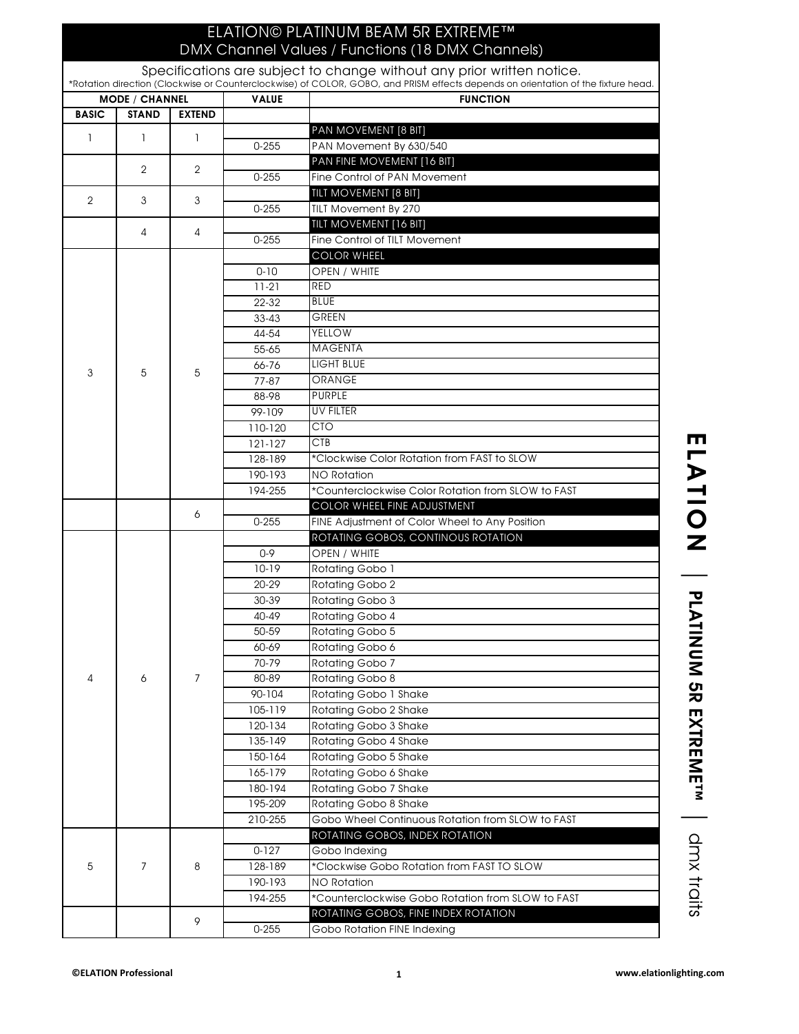## ELATION© PLATINUM BEAM 5R EXTREME™ DMX Channel Values / Functions (18 DMX Channels)

Specifications are subject to change without any prior written notice.

| <b>MODE / CHANNEL</b> |                |                | <b>VALUE</b> | <b>FUNCTION</b>                                                               |
|-----------------------|----------------|----------------|--------------|-------------------------------------------------------------------------------|
| <b>BASIC</b>          | <b>STAND</b>   | <b>EXTEND</b>  |              |                                                                               |
|                       |                |                |              | PAN MOVEMENT [8 BIT]                                                          |
| 1                     | $\mathbf{1}$   | 1              | $0 - 255$    | PAN Movement By 630/540                                                       |
|                       | $\overline{2}$ |                |              | PAN FINE MOVEMENT [16 BIT]                                                    |
|                       |                | $\overline{2}$ | $0 - 255$    | Fine Control of PAN Movement                                                  |
|                       |                |                |              | TILT MOVEMENT [8 BIT]                                                         |
| $\overline{2}$        | 3              | 3              | $0 - 255$    | TILT Movement By 270                                                          |
|                       | 4              | 4              |              | TILT MOVEMENT [16 BIT]                                                        |
|                       |                |                | $0 - 255$    | Fine Control of TILT Movement                                                 |
|                       | 5              | 5              |              | <b>COLOR WHEEL</b>                                                            |
|                       |                |                | $0 - 10$     | OPEN / WHITE                                                                  |
|                       |                |                | $11-21$      | <b>RED</b>                                                                    |
|                       |                |                | 22-32        | <b>BLUE</b>                                                                   |
|                       |                |                | $33 - 43$    | <b>GREEN</b>                                                                  |
|                       |                |                | 44-54        | <b>YELLOW</b>                                                                 |
|                       |                |                | 55-65        | <b>MAGENTA</b>                                                                |
|                       |                |                | 66-76        | <b>LIGHT BLUE</b>                                                             |
| 3                     |                |                | $77 - 87$    | <b>ORANGE</b>                                                                 |
|                       |                |                | 88-98        | <b>PURPLE</b>                                                                 |
|                       |                |                | 99-109       | <b>UV FILTER</b>                                                              |
|                       |                |                | 110-120      | <b>CTO</b>                                                                    |
|                       |                |                | 121-127      | CTB                                                                           |
|                       |                |                | 128-189      | *Clockwise Color Rotation from FAST to SLOW                                   |
|                       |                |                |              |                                                                               |
|                       |                |                | 190-193      | <b>NO Rotation</b>                                                            |
|                       |                |                | 194-255      | *Counterclockwise Color Rotation from SLOW to FAST                            |
|                       |                | 6              | $0 - 255$    | COLOR WHEEL FINE ADJUSTMENT<br>FINE Adjustment of Color Wheel to Any Position |
|                       |                |                |              | ROTATING GOBOS, CONTINOUS ROTATION                                            |
|                       |                |                | $0 - 9$      | OPEN / WHITE                                                                  |
|                       |                |                |              |                                                                               |
|                       |                |                | $10-19$      | Rotating Gobo 1                                                               |
|                       |                | 7              | 20-29        | Rotating Gobo 2                                                               |
|                       |                |                | 30-39        | Rotating Gobo 3                                                               |
|                       |                |                | 40-49        | Rotating Gobo 4                                                               |
|                       |                |                | 50-59        | Rotating Gobo 5                                                               |
| 4                     |                |                | 60-69        | Rotating Gobo 6                                                               |
|                       |                |                | 70-79        | Rotating Gobo 7                                                               |
|                       | 6              |                | 80-89        | Rotating Gobo 8                                                               |
|                       |                |                | 90-104       | Rotating Gobo 1 Shake                                                         |
|                       |                |                | 105-119      | Rotating Gobo 2 Shake                                                         |
|                       |                |                | 120-134      | Rotating Gobo 3 Shake                                                         |
|                       |                |                | 135-149      | Rotating Gobo 4 Shake                                                         |
|                       |                |                | 150-164      | Rotating Gobo 5 Shake                                                         |
|                       |                |                | 165-179      | Rotating Gobo 6 Shake                                                         |
|                       |                |                | 180-194      | Rotating Gobo 7 Shake                                                         |
|                       |                |                | 195-209      | Rotating Gobo 8 Shake                                                         |
|                       |                |                | 210-255      | Gobo Wheel Continuous Rotation from SLOW to FAST                              |
| 5                     | 7              | 8<br>9         |              | ROTATING GOBOS, INDEX ROTATION                                                |
|                       |                |                | $0 - 127$    | Gobo Indexing                                                                 |
|                       |                |                | 128-189      | *Clockwise Gobo Rotation from FAST TO SLOW                                    |
|                       |                |                | 190-193      | NO Rotation                                                                   |
|                       |                |                | 194-255      | *Counterclockwise Gobo Rotation from SLOW to FAST                             |
|                       |                |                |              | ROTATING GOBOS, FINE INDEX ROTATION                                           |
|                       |                |                |              |                                                                               |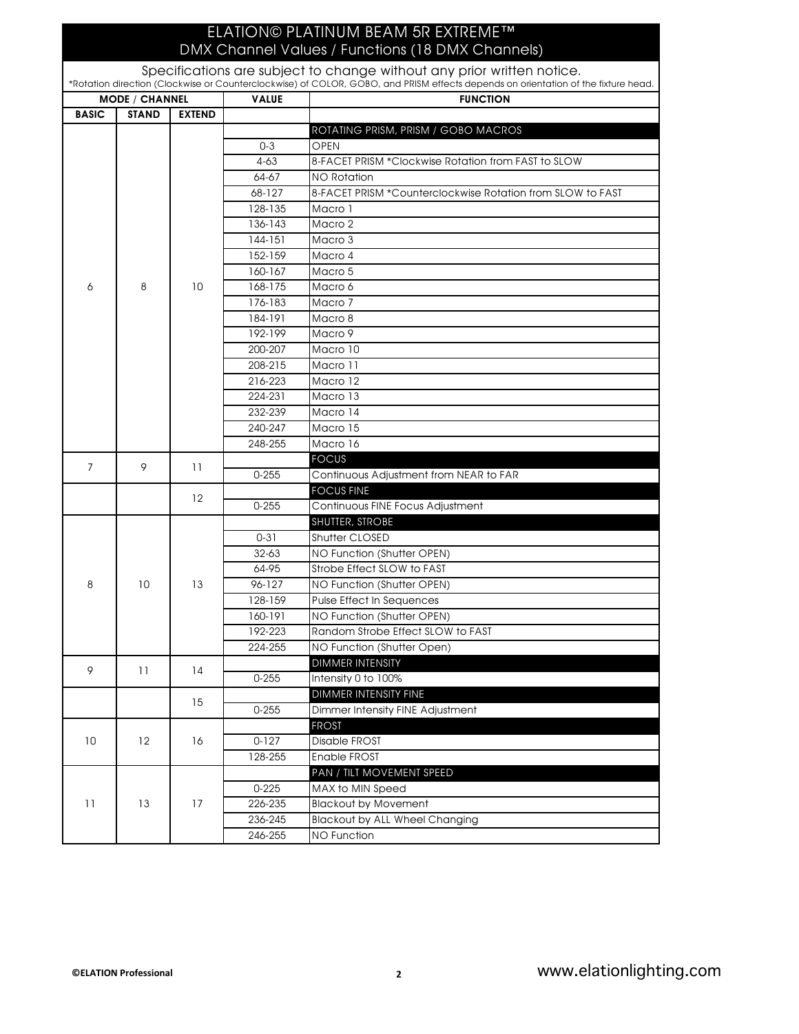## ELATION© PLATINUM BEAM 5R EXTREME™

VALUE RUNCTION BASIC STAND EXTEND DMX Channel Values / Functions (18 DMX Channels) Specifications are subject to change without any prior written notice. \*Rotation direction (Clockwise or Counterclockwise) of COLOR, GOBO, and PRISM effects depends on orientation of the fixture head. MODE / CHANNEL ROTATING PRISM, PRISM / GOBO MACROS 0-3 OPEN 4-63 8-FACET PRISM \*Clockwise Rotation from FAST to SLOW 64-67 NO Rotation 68-127 8-FACET PRISM \*Counterclockwise Rotation from SLOW to FAST 128-135 Macro 1 136-143 Macro 2 144-151 Macro 3 152-159 Macro 4 160-167 Macro 5 168-175 Macro 6 176-183 Macro 7 184-191 Macro 8 192-199 Macro 9 200-207 Macro 10 208-215 Macro 11 216-223 Macro 12 224-231 Macro 13 232-239 Macro 14 240-247 Macro 15 248-255 Macro 16 **FOCUS** 0-255 Continuous Adjustment from NEAR to FAR FOCUS FINE 0-255 Continuous FINE Focus Adjustment SHUTTER, STROBE 0-31 Shutter CLOSED 32-63 NO Function (Shutter OPEN) 64-95 Strobe Effect SLOW to FAST 96-127 NO Function (Shutter OPEN) 128-159 Pulse Effect In Sequences 160-191 NO Function (Shutter OPEN) 192-223 Random Strobe Effect SLOW to FAST 224-255 NO Function (Shutter Open) DIMMER INTENSITY 0-255 **Intensity 0 to 100%** DIMMER INTENSITY FINE 0-255 Dimmer Intensity FINE Adjustment FROST 0-127 Disable FROST 128-255 Enable FROST PAN / TILT MOVEMENT SPEED 0-225 MAX to MIN Speed 10 12 16 9 11 14 15 12 8 10 13 6 | 8 | 10 7 9 11

11 13 17

226-235 Blackout by Movement

246-255 NO Function

236-245 Blackout by ALL Wheel Changing